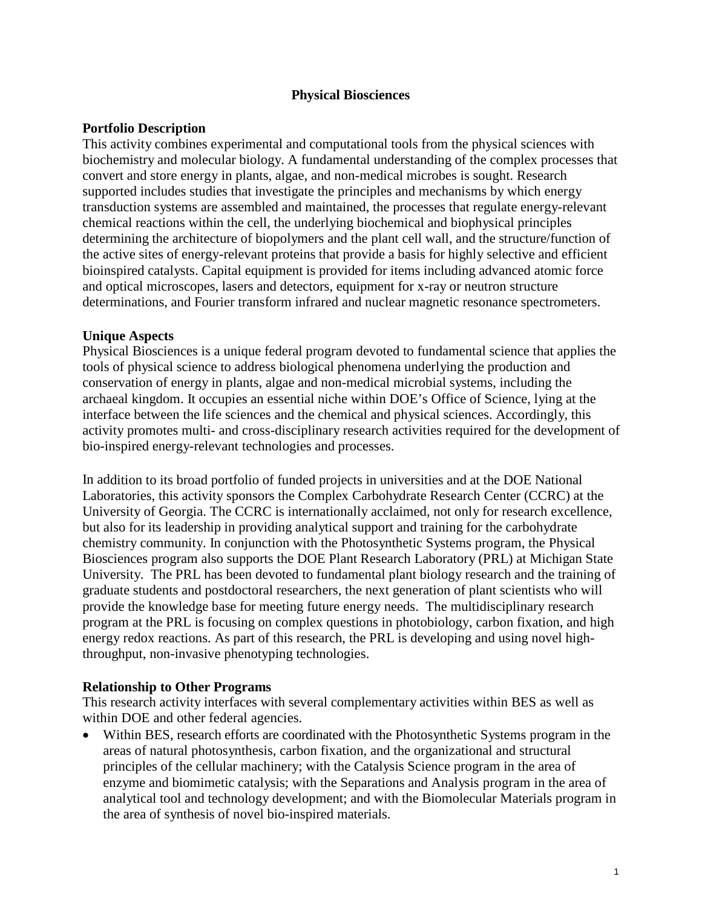## **Physical Biosciences**

## **Portfolio Description**

This activity combines experimental and computational tools from the physical sciences with biochemistry and molecular biology. A fundamental understanding of the complex processes that convert and store energy in plants, algae, and non-medical microbes is sought. Research supported includes studies that investigate the principles and mechanisms by which energy transduction systems are assembled and maintained, the processes that regulate energy-relevant chemical reactions within the cell, the underlying biochemical and biophysical principles determining the architecture of biopolymers and the plant cell wall, and the structure/function of the active sites of energy-relevant proteins that provide a basis for highly selective and efficient bioinspired catalysts. Capital equipment is provided for items including advanced atomic force and optical microscopes, lasers and detectors, equipment for x-ray or neutron structure determinations, and Fourier transform infrared and nuclear magnetic resonance spectrometers.

### **Unique Aspects**

Physical Biosciences is a unique federal program devoted to fundamental science that applies the tools of physical science to address biological phenomena underlying the production and conservation of energy in plants, algae and non-medical microbial systems, including the archaeal kingdom. It occupies an essential niche within DOE's Office of Science, lying at the interface between the life sciences and the chemical and physical sciences. Accordingly, this activity promotes multi- and cross-disciplinary research activities required for the development of bio-inspired energy-relevant technologies and processes.

In addition to its broad portfolio of funded projects in universities and at the DOE National Laboratories, this activity sponsors the Complex Carbohydrate Research Center (CCRC) at the University of Georgia. The CCRC is internationally acclaimed, not only for research excellence, but also for its leadership in providing analytical support and training for the carbohydrate chemistry community. In conjunction with the Photosynthetic Systems program, the Physical Biosciences program also supports the DOE Plant Research Laboratory (PRL) at Michigan State University. The PRL has been devoted to fundamental plant biology research and the training of graduate students and postdoctoral researchers, the next generation of plant scientists who will provide the knowledge base for meeting future energy needs. The multidisciplinary research program at the PRL is focusing on complex questions in photobiology, carbon fixation, and high energy redox reactions. As part of this research, the PRL is developing and using novel highthroughput, non-invasive phenotyping technologies.

#### **Relationship to Other Programs**

This research activity interfaces with several complementary activities within BES as well as within DOE and other federal agencies.

• Within BES, research efforts are coordinated with the Photosynthetic Systems program in the areas of natural photosynthesis, carbon fixation, and the organizational and structural principles of the cellular machinery; with the Catalysis Science program in the area of enzyme and biomimetic catalysis; with the Separations and Analysis program in the area of analytical tool and technology development; and with the Biomolecular Materials program in the area of synthesis of novel bio-inspired materials.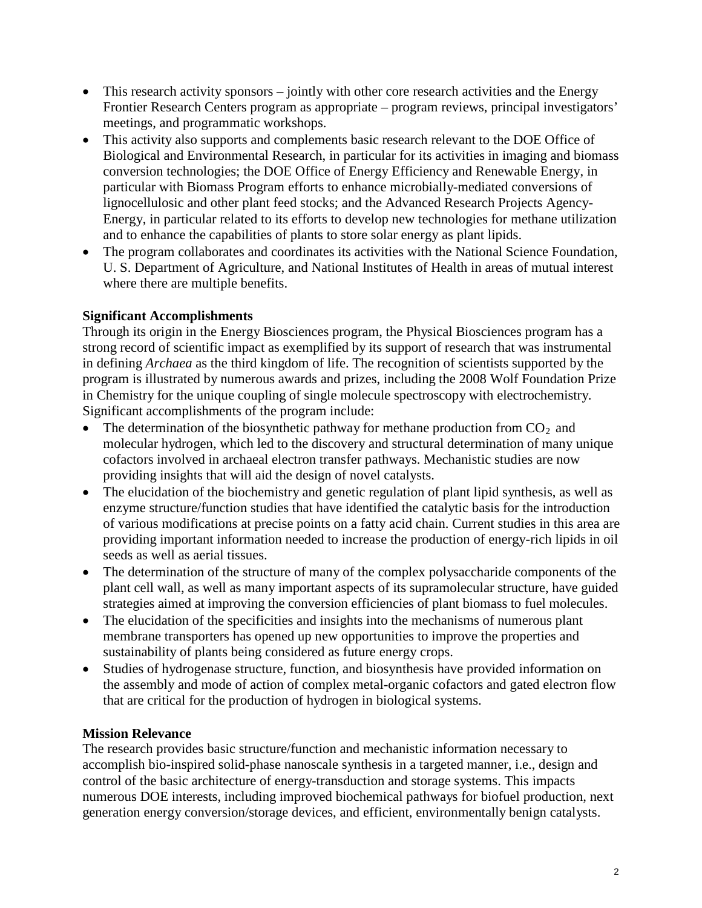- This research activity sponsors jointly with other core research activities and the Energy Frontier Research Centers program as appropriate – program reviews, principal investigators' meetings, and programmatic workshops.
- This activity also supports and complements basic research relevant to the DOE Office of Biological and Environmental Research, in particular for its activities in imaging and biomass conversion technologies; the DOE Office of Energy Efficiency and Renewable Energy, in particular with Biomass Program efforts to enhance microbially-mediated conversions of lignocellulosic and other plant feed stocks; and the Advanced Research Projects Agency-Energy, in particular related to its efforts to develop new technologies for methane utilization and to enhance the capabilities of plants to store solar energy as plant lipids.
- The program collaborates and coordinates its activities with the National Science Foundation, U. S. Department of Agriculture, and National Institutes of Health in areas of mutual interest where there are multiple benefits.

# **Significant Accomplishments**

Through its origin in the Energy Biosciences program, the Physical Biosciences program has a strong record of scientific impact as exemplified by its support of research that was instrumental in defining *Archaea* as the third kingdom of life. The recognition of scientists supported by the program is illustrated by numerous awards and prizes, including the 2008 Wolf Foundation Prize in Chemistry for the unique coupling of single molecule spectroscopy with electrochemistry. Significant accomplishments of the program include:

- The determination of the biosynthetic pathway for methane production from  $CO<sub>2</sub>$  and molecular hydrogen, which led to the discovery and structural determination of many unique cofactors involved in archaeal electron transfer pathways. Mechanistic studies are now providing insights that will aid the design of novel catalysts.
- The elucidation of the biochemistry and genetic regulation of plant lipid synthesis, as well as enzyme structure/function studies that have identified the catalytic basis for the introduction of various modifications at precise points on a fatty acid chain. Current studies in this area are providing important information needed to increase the production of energy-rich lipids in oil seeds as well as aerial tissues.
- The determination of the structure of many of the complex polysaccharide components of the plant cell wall, as well as many important aspects of its supramolecular structure, have guided strategies aimed at improving the conversion efficiencies of plant biomass to fuel molecules.
- The elucidation of the specificities and insights into the mechanisms of numerous plant membrane transporters has opened up new opportunities to improve the properties and sustainability of plants being considered as future energy crops.
- Studies of hydrogenase structure, function, and biosynthesis have provided information on the assembly and mode of action of complex metal-organic cofactors and gated electron flow that are critical for the production of hydrogen in biological systems.

# **Mission Relevance**

The research provides basic structure/function and mechanistic information necessary to accomplish bio-inspired solid-phase nanoscale synthesis in a targeted manner, i.e., design and control of the basic architecture of energy-transduction and storage systems. This impacts numerous DOE interests, including improved biochemical pathways for biofuel production, next generation energy conversion/storage devices, and efficient, environmentally benign catalysts.